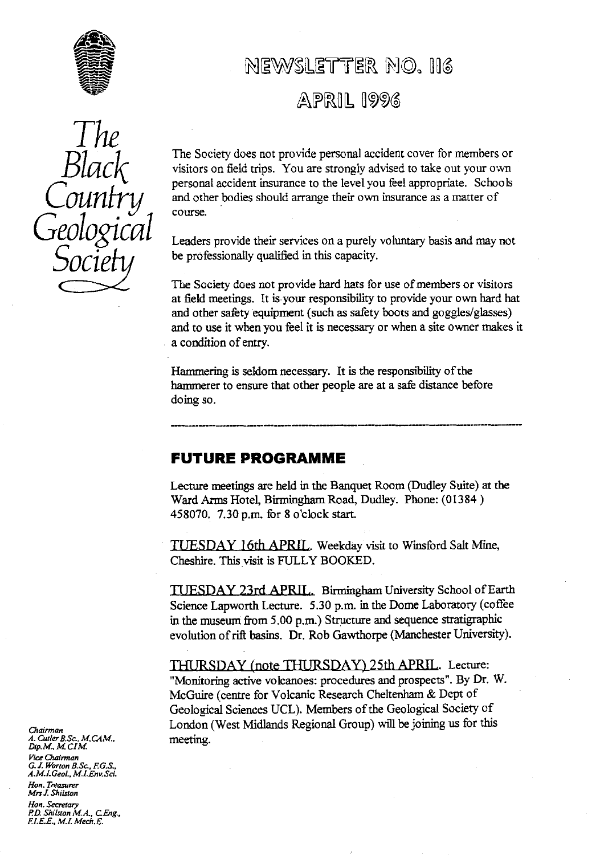

# The Black Country *Geological Socie*

# NEWSLETTER NO. 116

## $APRIIL$  1996

The Society does not provide personal accident cover for members or visitors on field trips. You are strongly advised to take out your own personal accident insurance to the level you feel appropriate. Schools and other bodies should arrange their own insurance as a matter of course.

Leaders provide their services on a purely voluntary basis and may not be professionally qualified in this capacity.

The Society does not provide hard hats for use of members or visitors at field meetings. It is-your responsibility to provide your own hard hat and other safety equipment (such as safety boots and goggles/glasses) and to use it when you feel it is necessary or when a site owner makes it a condition of entry.

Hammering is seldom necessary. It is the responsibility of the hammerer to ensure that other people are at a safe distance before doing so.

### FUTURE PROGRAMME

Lecture meetings are held in the Banquet Room (Dudley Suite) at the Ward Arms Hotel, Birmingham Road, Dudley. Phone: (01384) 458070. 7.30 p.m. for 8 o'clock start.

TUESDAY 16th APRIL. Weekday visit to Winsford Salt Mine, Cheshire. This visit is FULLY BOOKED.

TUESDAY 23rd APRIL. Birmingham University School of Earth Science Lapworth Lecture. 5.30 p.m. in the Dome Laboratory (coffee in the museum from 5.00 p.m.) Structure and sequence stratigraphic evolution of rift basins. Dr. Rob Gawthorpe (Manchester University).

THURSDAY (note THURSDAY) 25th APRIL. Lecture: "Monitoring active volcanoes: procedures and prospects". By Dr. W. McGuire (centre for Volcanic Research Cheltenham & Dept of Geological Sciences UCL). Members of the Geological Society of London (West Midlands Regional Group) will be joining us for this meeting.

*Chairman A. Cutler B.Sc., M.CAM., Dzp.M.. M. CIM\_ Vi*ce Chairman *G. T. Wortan BSc., EG.S., A.M\_l.Geol., MLEnv.Sci.*

*Hon. Treasurer Mrs J. Shilston*

*Han. Secretary A.D. ShiLston MA., CEng., EI.E.E. M.I. Mech.E.*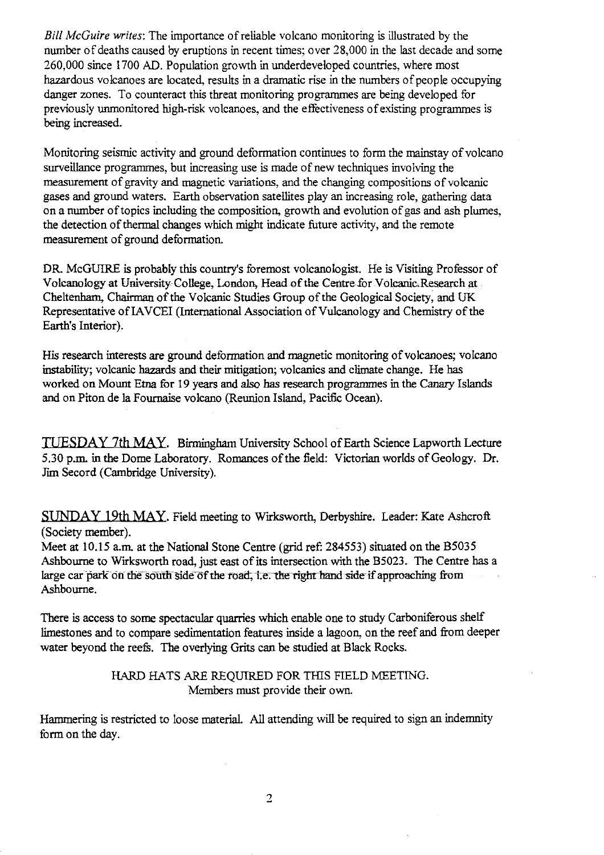*Bill McGuire writes:* The importance of reliable volcano monitoring is illustrated by the number of deaths caused by eruptions in recent times; over 28,000 in the last decade and some 260,000 since 1700 AD. Population growth in underdeveloped countries, where most hazardous volcanoes are located, results in a dramatic rise in the numbers of people occupying danger zones. To counteract this threat monitoring programmes are being developed for previously unmonitored high-risk volcanoes, and the effectiveness of existing programmes is being increased.

Monitoring seismic activity and ground deformation continues to form the mainstay of volcano surveillance programmes, but increasing use is made of new techniques involving the measurement of gravity and magnetic variations, and the changing compositions of volcanic gases and ground waters. Earth observation satellites play an increasing role, gathering data on a number of topics including the composition, growth and evolution of gas and ash plumes, the detection of thermal changes which might indicate future activity, and the remote measurement of ground deformation.

DR. McGUIRE is probably this country's foremost volcanologist. He is Visiting Professor of Volcanology at University College, London, Head of the Centre for Volcanic Research at Cheltenham, Chairman of the Volcanic Studies Group of the Geological Society, and UK Representative of IAVCEI (International Association of Vulcanology and Chemistry of the Earth's Interior).

His research interests are ground deformation and magnetic monitoring of volcanoes; volcano instability; volcanic hazards and their mitigation; volcanics and climate change. He has worked on Mount Etna for 19 years and also has research programmes in the Canary Islands and on Piton de la Fournaise volcano (Reunion Island, Pacific Ocean).

*TUESDAY 7th MAY.* Birmingham University School of Earth Science Lapworth Lecture 5.30 p.m. in the Dome Laboratory. Romances of the field: Victorian worlds of Geology. Dr. Jim Secord (Cambridge University).

SUNDAY 19th MAY. Field meeting to Wirksworth, Derbyshire. Leader: Kate Ashcroft (Society member).

Meet at 10.15 a.m. at the National Stone Centre (grid ref: 284553) situated on the B5035 Ashbourne to Wirksworth road, just east of its intersection with the B5023. The Centre has a large car park on the south side of the road, i.e. the right hand side- if approaching from Ashbourne.

There is access to some spectacular quarries which enable one to study Carboniferous shelf limestones and to compare sedimentation features inside a lagoon, on the reef and from deeper water beyond the reefs. The overlying Grits can be studied at Black Rocks.

#### HARD HATS ARE REQUIRED FOR THIS FIELD MEETING. Members must provide their own.

Hammering is restricted to loose material. All attending will be required to sign an indemnity form on the day.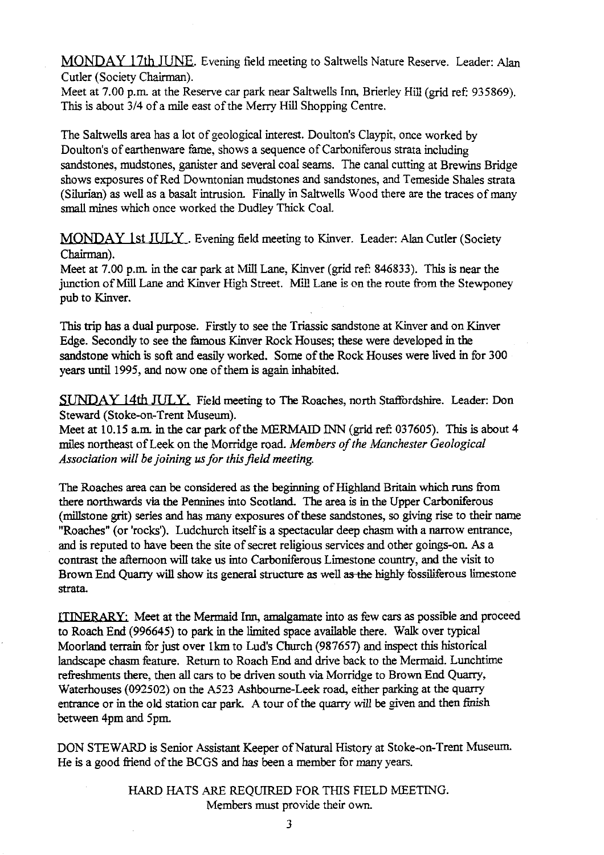MONDAY 17th JUNE. Evening field meeting to Saltwells Nature Reserve. Leader: Alan Cutler (Society Chairman).

Meet at 7.00 p.m. at the Reserve car park near Saltwells Inn, Brierley Hill (grid ref: 935869). This is about 3/4 of a mile east of the Merry Hill Shopping Centre.

The Saltwells area has a Iot of geological interest. Doulton's Claypit, once worked by Doulton's of earthenware fame, shows a sequence of Carboniferous strata including sandstones, mudstones, ganister and several coal seams. The canal cutting at Brewins Bridge shows exposures of Red Downtonian mudstones and sandstones, and Temeside Shales strata (Silurian) as well as a basalt intrusion. Finally in Saltwells Wood there are the traces of many small mines which once worked the Dudley Thick Coal.

MONDAY 1st JULY . Evening field meeting to Kinver. Leader: Alan Cutler (Society Chairman).

Meet at 7.00 p.m. in the car park at Mill Lane, Kinver (grid ref: 846833). This is near the junction of Mill Lane and Kinver High Street. Mill Lane is on the route from the Stewponey pub to Kinver.

This trip has a dual purpose. Firstly to see the Triassic sandstone at Kinver and on Kinver Edge. Secondly to see the famous Kinver Rock Houses; these were developed in the sandstone which is soft and easily worked. Some of the Rock Houses were lived in for 300 years until 1995, and now one of them is again inhabited.

**SUNDAY 14th JITLY.** Field meeting to The Roaches, north Staffordshire. Leader: Don Steward (Stoke-on-Trent Museum).

Meet at 10.15 a.m. in the car park of the MERMAID INN (grid ref: 037605). This is about 4 miles northeast of Leek on the Morridge road. *Members of the Manchester Geological Association will be joining us for this field meeting.*

The Roaches area can be considered as the beginning of Highland Britain which runs from there northwards via the Pennines into Scotland. The area is in the Upper Carboniferous (millstone grit) series and has many exposures of these sandstones, so giving rise to their name "Roaches" (or'rocks'). Ludchurch itself is a spectacular deep chasm with a narrow entrance, and is reputed to have been the site of secret religious services and other goings-on. As a contrast the afternoon will take us into Carboniferous Limestone country, and the visit to Brown End Quarry will show its general structure as well as the highly fossiliferous limestone strata.

ITINERARY: Meet at the Mermaid Inn, amalgamate into as few cars as possible and proceed to Roach End (996645) to park in the limited space available there. Walk over typical Moorland terrain for just over 1km to Lud's Church (987657) and inspect this historical landscape chasm feature. Return to Roach End and drive back to the Mermaid. Lunchtime refreshments there, then all cars to be driven south via Morridge to Brown End Quarry, Waterhouses (092502) on the A523 Ashbourne-Leek road, either parking at the quarry entrance or in the old station car park. A tour of the quarry will be given and then finish between 4pm and 5pm.

DON STEWARD is Senior Assistant Keeper of Natural History at Stoke-on-Trent Museum. He is a good friend of the BCGS and has been a member for many years.

> HARD HATS ARE REQUIRED FOR THIS FIELD MEETING. Members must provide their own.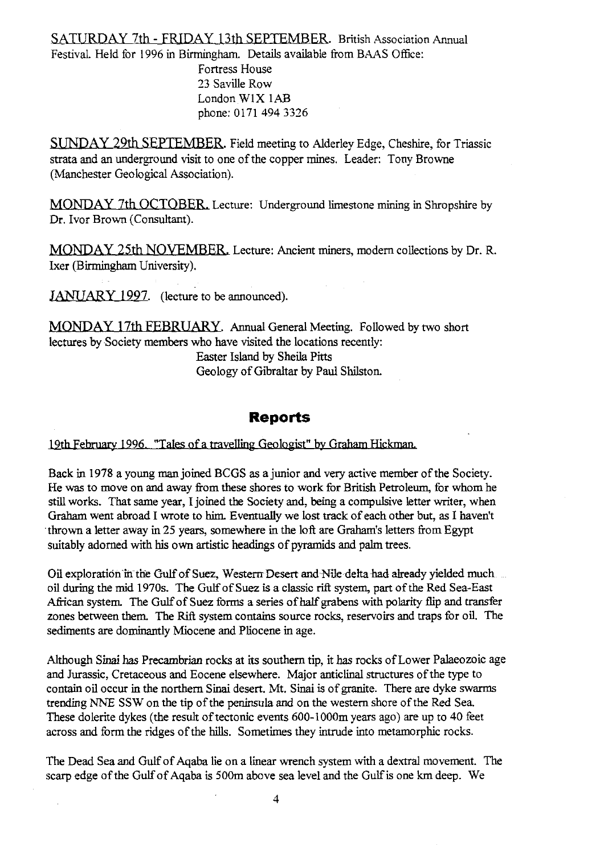SATURDAY 7th - FRIDAY 13th SEPTEMBER. British Association Annual Festival. Held for 1996 in Birmingham. Details available from BAAS Office: Fortress House 23 Saville Row London W1X lAB phone: 0171 494 3326

SUNDAY 29th SEPTEMBER. Field meeting to Alderley Edge, Cheshire, for Triassic strata and an underground visit to one of the copper mines. Leader: Tony Browne (Manchester Geological Association).

MONDAY 7th OCTOBER, Lecture: Underground limestone mining in Shropshire by Dr. Ivor Brown (Consultant).

MONDAY 25th NOVEMBER. Lecture: Ancient miners, modem collections by Dr. R. Ixer (Birmingham University).

JANUARY 1997. (lecture to be announced).

MONDAY 17th FEBRUARY. Annual General Meeting. Followed by two short lectures by Society members who have visited the locations recently:

Easter Island by Sheila Pitts Geology of Gibraltar by Paul Shilston.

### **Reports**

19th February 1996. "Tales of a travelling Geologist" by Graham Hickman.

Back in 1978 a young man joined BCGS as a junior and very active member of the Society. He was to move on and away from these shores to work for British Petroleum, for whom he still works. That same year, I joined the Society and, being a compulsive letter writer, when Graham went abroad I wrote to him. Eventually we lost track of each other but, as I haven't thrown a letter away in 25 years, somewhere in the loft are Graham's letters from Egypt suitably adorned with his own artistic headings of pyramids and palm trees.

Oil exploration in the Gulf of Suez, Western Desert and Nile delta had already yielded much oil during the mid 1970s. The Gulf of Suez is a classic rift system, part of the Red Sea-East African system. The Gulf of Suez forms a series of half grabens with polarity flip and transfer zones between them. The Rift system contains source rocks, reservoirs and traps for oil. The sediments are dominantly Miocene and Pliocene in age.

Although Sinai has Precambrian rocks at its southern tip, it has rocks of Lower Palaeozoic age and Jurassic, Cretaceous and Eocene elsewhere. Major anticlinal structures of the type to contain oil occur in the northern Sinai desert. Mt. Sinai is of granite. There are dyke swarms trending NNE SSW on the tip of the peninsula and on the western shore of the Red Sea. These dolerite dykes (the result of tectonic events 600-1000m years ago) are up to 40 feet across and form the ridges of the hills. Sometimes they intrude into metamorphic rocks.

The Dead Sea and Gulf of Aqaba lie on a linear wrench system with a dextral movement. The scarp edge of the Gulf of Aqaba is 500m above sea level and the Gulf is one km deep. We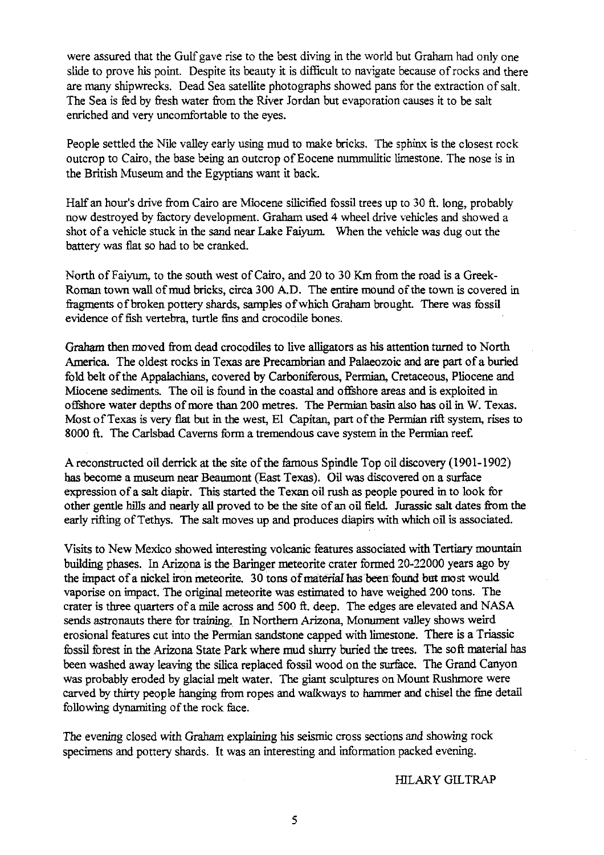were assured that the Gulf gave *rise* to the best diving in the world but Graham had only one slide to prove his point. Despite its beauty it is difficult to navigate because of rocks and there are many shipwrecks. Dead Sea satellite photographs showed pans for the extraction of salt. The Sea is fed by fresh water from the River Jordan but evaporation causes it to be salt enriched and very uncomfortable to the eyes.

People settled the Nile valley early using mud to make bricks. The sphinx is the closest rock outcrop to Cairo, the base being an outcrop of Eocene nummulitic limestone. The nose is in the British Museum and the Egyptians want it back.

Half an hour's drive from Cairo are Miocene silicified fossil trees up to 30 ft. long, probably now destroyed by factory development. Graham used 4 wheel drive vehicles and showed a shot of a vehicle stuck in the sand near Lake Faiyum. When the vehicle was dug out the battery was flat so had to be cranked.

North of Faiyum. to the south west of Cairo, and 20 to 30 Km from the road is a Greek-Roman town wall of mud bricks, circa 300 A.D. The entire mound of the town is covered in fragments of broken pottery shards, samples of which Graham brought. There was fossil evidence of fish vertebra, turtle fins and crocodile bones.

Graham then moved from dead crocodiles to live alligators as his attention turned to North America. The oldest rocks in Texas are Precambrian and Palaeozoic and are part of a buried fold belt of the Appalachians, covered by Carboniferous, Permian, Cretaceous, Pliocene and Miocene sediments. The oil is found in the coastal and offshore areas and is exploited in offshore water depths of more than 200 metres. The Permian basin also has oil in W. Texas. Most of Texas is very flat but in the west, El Capitan, part of the Permian rift system, rises to 8000 ft. The Carlsbad Caverns form a tremendous cave system in the Permian reef.

A reconstructed oil derrick at the site of the famous Spindle Top oil discovery (1901-1902) has become a museum near Beaumont (East Texas). Oil was discovered on a surface expression of a salt diapir. This started the Texan oil rush as people poured in to look for other gentle hills and nearly all proved to be the site of an oil field. Jurassic salt dates from the early rifting of Tethys. The salt moves up and produces diapirs with which oil is associated.

Visits to New Mexico showed interesting volcanic features associated with Tertiary mountain building phases.. In Arizona is the Baringer meteorite crater formed 20-22000 years ago by the impact of a nickel iron meteorite. 30 tons of material has been found but most would vaporise on impact. The original meteorite was estimated to have weighed 200 tons. The crater is three quarters of a mile across and 500 ft. deep. The edges are elevated and NASA sends astronauts there for training.. In Northern Arizona, Monument valley shows weird erosional features cut into the Permian sandstone capped with limestone. There is a Triassic fossil forest in the Arizona State Park where mud slurry buried the trees. The soft material has been washed away leaving the silica replaced fossil wood on the surface. The Grand Canyon was probably eroded by glacial melt water. The giant sculptures on Mount Rushmore were carved by thirty people hanging from ropes and walkways to hammer and chisel the fine detail following dynamiting of the rock face.

The evening closed with Graham explaining his seismic cross sections and showing rock specimens and pottery shards. It was an interesting and information packed evening.

HILARY GILTRAP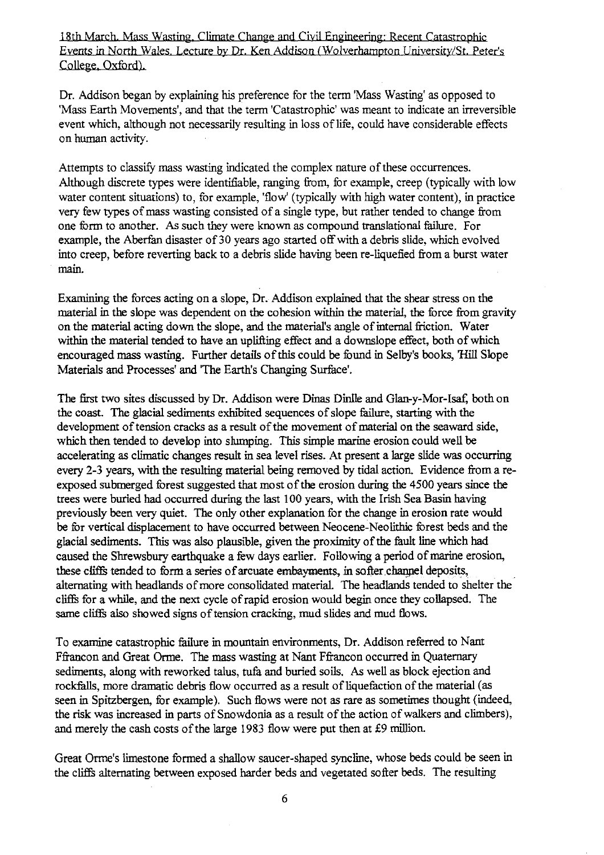18th March, Mass Wasting, Climate Change and Civil Engineering: Recent Catastrophic Events in North Wales, Lecture by Dr. Ken Addison (Wolverhampton University/St. Peter's College, Oxford).

Dr. Addison began by explaining his preference for the term 'Mass Wasting' as opposed to 'Mass Earth Movements', and that the term 'Catastrophic' was meant to indicate an irreversible event which, although not necessarily resulting in loss of life, could have considerable effects on human activity.

Attempts to classify mass wasting indicated the complex nature of these occurrences. Although discrete types were identifiable, ranging from, for example, creep (typically with low water content situations) to, for example, 'flow' (typically with high water content), in practice very few types of mass wasting consisted of a single type, but rather tended to change from one form to another. As such they were known as compound translational failure. For example, the *Aberfan* disaster of 30 years ago started off with a debris slide, which evolved into creep, before reverting back to a debris slide having been re-liquefied from a burst water main.

Examining the forces acting on a slope, Dr. Addison explained that the shear stress on the material in the slope was dependent on the cohesion within the material, the force from gravity on the material acting down the slope, and the material's angle of internal friction. Water within the material tended to have *an* uplifting effect and a downslope effect, both of which encouraged mass wasting. Further details of this could be found in Selby's books, 'Hill Slope Materials and Processes' and The Earth's Changing Surface'.

The first two sites discussed by Dr. Addison were Dinas Dinlle and Glan-y-Mor-Isaf, both on the coast. The glacial sediments exhibited sequences of slope failure, starting with the development of tension cracks as a result of the movement of material on the seaward side, which then tended to develop into slumping. This simple marine erosion could well be accelerating as climatic changes result in sea level rises. At present a large slide was occurring every 2-3 years, with the resulting material being removed by tidal action. Evidence from a reexposed submerged forest suggested that most of the erosion during the 4500 years since the trees were buried had occurred during the last 100 years, with the Irish Sea Basin having previously been very quiet. The only other explanation for the change in erosion rate would be for vertical displacement to have occurred between Neocene-Neolithic forest beds and the glacial sediments. This was also plausible, given the proximity of the fault line which had caused the Shrewsbury earthquake a few days earlier. Following a period of marine erosion, these cliffs tended to form a series of arcuate embayments, in softer channel deposits, alternating with headlands of more consolidated material. The headlands tended to shelter the cliffs for a while, and the next cycle of rapid erosion would begin once they collapsed. The same cliffs also showed signs of tension cracking, mud slides and mud flows.

To examine catastrophic failure in mountain environments, Dr. Addison referred to Nant Ffrancon and Great Orme. *The mass* wasting at Nant Ffiancon occurred in Quaternary sediments, along with reworked talus, tufa and buried soils. As well as block ejection and rockfalls, more dramatic debris flow occurred as a result of liquefaction of the material (as seen in Spitzbergen, for example). Such flows were not as rare as sometimes thought (indeed, the risk was increased in parts of Snowdonia as a result of the action of walkers and climbers), and merely the cash costs of the large 1983 flow were put then at £9 million.

Great Orme's limestone formed a shallow saucer-shaped syncline, whose beds could be seen in the cliffs alternating between exposed harder beds and vegetated softer beds. The resulting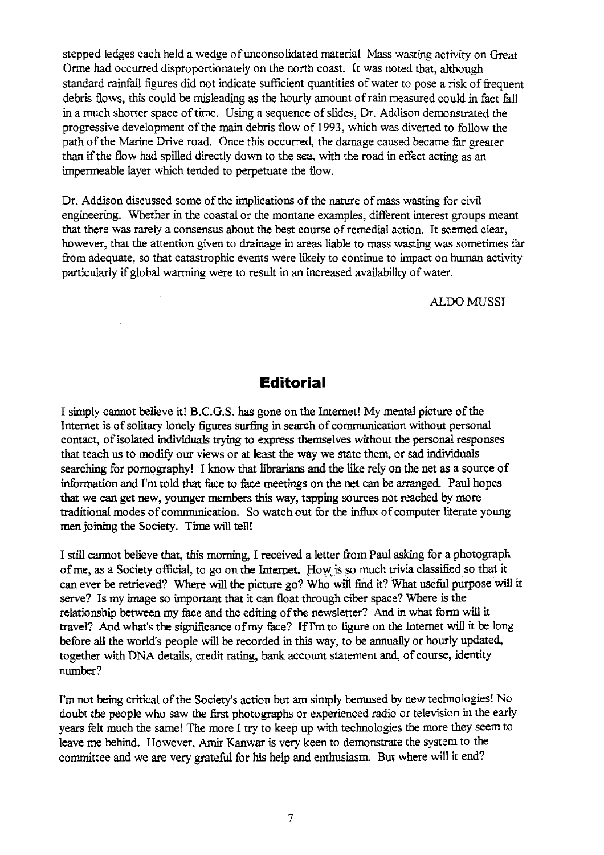stepped ledges each held a wedge of unconsolidated material Mass wasting activity on Great Orme had occurred disproportionately on the north coast. It was noted that, although standard rainfall figures did not indicate sufficient quantities of water to pose a risk of frequent debris flows, this could be misleading as the hourly amount of rain measured could in fact fall in a much shorter space of time. Using a sequence of slides, Dr. Addison demonstrated the progressive development of the main debris flow of 1993, which was diverted to follow the path of the Marine Drive road. Once this occurred, the damage caused became far greater than if the flow had spilled directly down to the sea, with the road in effect acting as an impermeable layer which tended to perpetuate the flow.

Dr. Addison discussed some of the implications of the nature of mass wasting for civil engineering. Whether in the coastal or the montane examples, different interest groups meant that there was rarely a consensus about the best course of remedial action. It seemed clear, however, that the attention given to drainage in areas liable to mass wasting was sometimes far from adequate, so that catastrophic events were likely to continue to impact on human activity particularly if global warming were to result in an increased availability of water.

ALDO MUSSI

#### **Editorial**

I simply cannot believe it! B.C.G.S. has gone on the Internet! My mental picture of the Internet is of solitary lonely figures surfing in search of communication without personal contact, of isolated individuals trying to express themselves without the personal responses that teach us to modify our views or at least the way we state them, or sad individuals searching for pornography! I know that librarians and the like rely on the net as a source of information and I'm told that face to face meetings on the net can be arranged. Paul hopes that we can get new, younger members this way, tapping sources not reached by more traditional modes of communication. So watch out for the influx of computer literate young men joining the Society. Time will tell!

I still cannot believe that, this morning, I received a letter from Paul asking for a photograph of me, as a Society official, to go on the Internet. How is so much trivia classified so that it can ever be retrieved? Where will the picture go? Who will find it? What useful purpose will it serve? Is my image so important that it can float through ciber space? Where is the relationship between my face and the editing of the newsletter? And in what form will it travel? And what's the significance of my face? If I'm to figure on the Internet will it be long before all the world's people will be recorded in this way, to be annually or hourly updated, together with DNA details, credit rating, bank account statement and, of course, identity number?

I'm not being critical of the Society's action but am simply bemused by new technologies! No doubt the people who saw the first photographs or experienced radio or television in the early years felt much the same! The more I try to keep up with technologies the more they seem to leave me behind. However, Amir Kanwar is very keen to demonstrate the system to the committee and we are very grateful for his help and enthusiasm. But where will it end?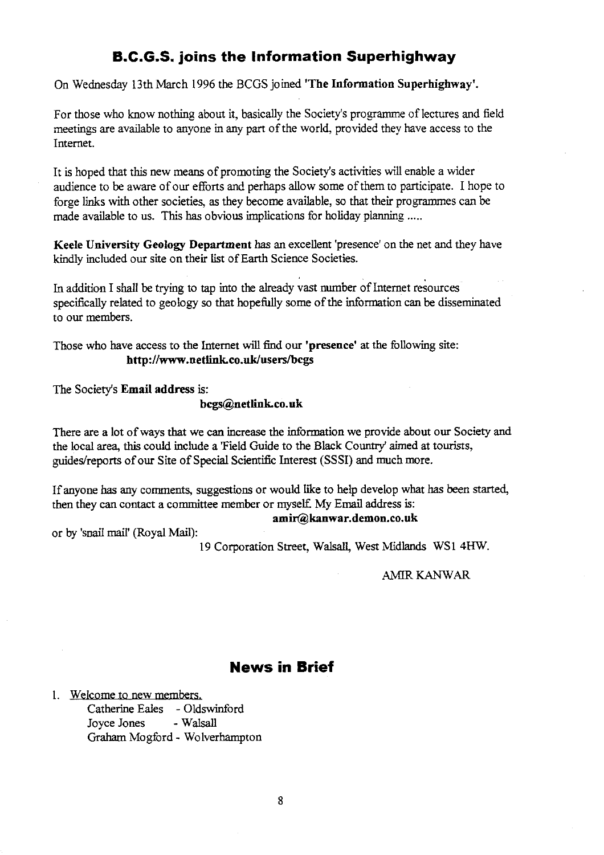## **B.C.G.S. joins the Information Superhighway**

On Wednesday 13th March 1996 the BCGS joined **'The Information Superhighway'.**

For those who know nothing about it, basically the Society's programme of lectures and field meetings are available to anyone in any part of the world, provided they have access to the Internet.

It is hoped that this new means of promoting the Society's activities will enable a wider audience to be aware of our efforts and perhaps allow some of them to participate. I hope to forge links with other societies, as they become available, so that their programmes can be made available to us. This has obvious implications for holiday planning .....

**Keele University Geology Department** has an excellent 'presence' on the net and they have kindly included our site on their list of Earth Science Societies.

In addition I shall be trying to tap into the already vast number of Internet resources specifically related to geology so that hopefully some of the information can be disseminated to our members.

Those who have access to the Internet will find our **'presence** at the following site: **<http://www.netlink.co.uk/users/bcgs>**

The Society's **Email address** is:

#### **[bcgs@netlink.co.uk](mailto:bcgs@netlink.co.uk)**

There are a lot of ways that we can increase the information we provide about our Society and the local area, this could include a 'Field Guide to the Black Country' aimed at tourists, guides/reports of our Site of Special Scientific Interest (SSSI) and much more.

If anyone has any comments, suggestions or would like to help develop what has *been* started, then they can contact a committee member or myself. My Email address is:

**[amir@kanwar.demon.co.uk](mailto:amir@kanwar.demon.co.uk)**

or by 'snail mail' (Royal Mail):

19 Corporation Street, Walsall, West Midlands WS1 4HW.

AMIR KANWAR

### **News in Brief**

I. Welcome to new members. Catherine Eales - Oldswinford<br>Jovee Jones - Walsall Joyce Jones Graham Mogford - Wolverhampton